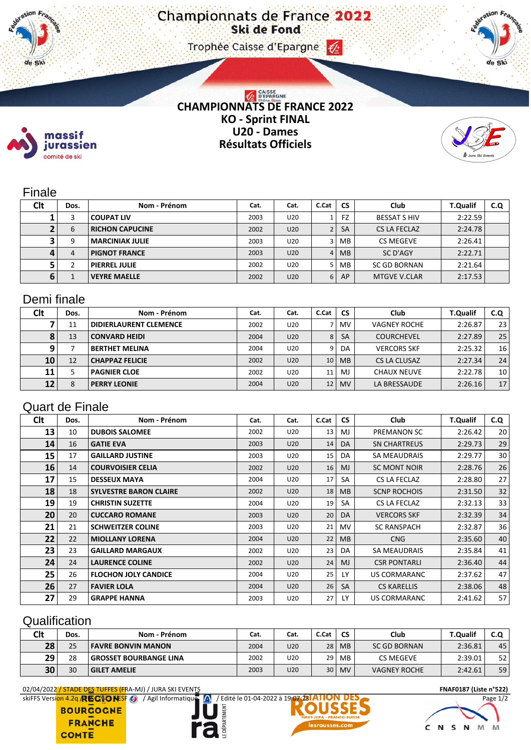#### Trophee Caisse d'Epargne (2)



# **CHAMPIONNATS DE FRANCE 2022 KO - Sprint FINAL U20 - Dames Résultats Officiels**



### Finale

massif jurassien comité de ski

11. de Ski

| Clt | Dos. | Nom - Prénom           | Cat. | Cat.            | C.Cat | CS.       | Club                | <b>T.Qualif</b> | C.Q |
|-----|------|------------------------|------|-----------------|-------|-----------|---------------------|-----------------|-----|
|     | 3    | <b>COUPAT LIV</b>      | 2003 | U20             |       | FZ        | <b>BESSAT S HIV</b> | 2:22.59         |     |
|     | 6    | <b>RICHON CAPUCINE</b> | 2002 | U20             |       | <b>SA</b> | CS LA FECLAZ        | 2:24.78         |     |
|     | 9    | <b>MARCINIAK JULIE</b> | 2003 | U20             |       | MB        | CS MEGEVE           | 2:26.41         |     |
| Д   | 4    | <b>PIGNOT FRANCE</b>   | 2003 | U20             | 4     | <b>MB</b> | SC D'AGY            | 2:22.71         |     |
|     | ำ    | <b>PIERREL JULIE</b>   | 2002 | U <sub>20</sub> |       | MВ        | <b>SC GD BORNAN</b> | 2:21.64         |     |
| 6   |      | <b>VEYRE MAELLE</b>    | 2002 | U20             | 6     | AP        | <b>MTGVE V.CLAR</b> | 2:17.53         |     |

### Demi finale

| Clt             | Dos. | Nom - Prénom                  | Cat. | Cat. | C.Cat | <b>CS</b> | Club                | <b>T.Qualif</b> | C.Q             |
|-----------------|------|-------------------------------|------|------|-------|-----------|---------------------|-----------------|-----------------|
|                 | 11   | <b>DIDIERLAURENT CLEMENCE</b> | 2002 | U20  |       | <b>MV</b> | <b>VAGNEY ROCHE</b> | 2:26.87         | 23 <sub>1</sub> |
|                 | 13   | <b>CONVARD HEIDI</b>          | 2004 | U20  | 8     | <b>SA</b> | <b>COURCHEVEL</b>   | 2:27.89         | 25              |
|                 |      | <b>BERTHET MELINA</b>         | 2004 | U20  | 9     | DA.       | <b>VERCORS SKF</b>  | 2:25.32         | 16              |
| 10 <sup>1</sup> | 12   | <b>CHAPPAZ FELICIE</b>        | 2002 | U20  | 10    | <b>MB</b> | <b>CS LA CLUSAZ</b> | 2:27.34         | 24              |
| 11              |      | <b>PAGNIER CLOE</b>           | 2002 | U20  | 11    | MJ.       | <b>CHAUX NEUVE</b>  | 2:22.78         | 10 <sup>1</sup> |
| 12              | 8    | <b>PERRY LEONIE</b>           | 2004 | U20  | 12    | <b>MV</b> | LA BRESSAUDE        | 2:26.16         | 17 <sup>1</sup> |

### Quart de Finale

| <b>Clt</b> | Dos. | Nom - Prénom                  | Cat. | Cat. | C.Cat | <b>CS</b> | Club                | <b>T.Qualif</b> | C.Q |
|------------|------|-------------------------------|------|------|-------|-----------|---------------------|-----------------|-----|
| 13         | 10   | <b>DUBOIS SALOMEE</b>         | 2002 | U20  | 13    | MJ        | PREMANON SC         | 2:26.42         | 20  |
| 14         | 16   | <b>GATIE EVA</b>              | 2003 | U20  | 14    | DA.       | <b>SN CHARTREUS</b> | 2:29.73         | 29  |
| 15         | 17   | <b>GAILLARD JUSTINE</b>       | 2003 | U20  | 15    | DA.       | SA MEAUDRAIS        | 2:29.77         | 30  |
| 16         | 14   | <b>COURVOISIER CELIA</b>      | 2002 | U20  | 16    | <b>MJ</b> | <b>SC MONT NOIR</b> | 2:28.76         | 26  |
| 17         | 15   | <b>DESSEUX MAYA</b>           | 2004 | U20  | 17    | SA        | CS LA FECLAZ        | 2:28.80         | 27  |
| 18         | 18   | <b>SYLVESTRE BARON CLAIRE</b> | 2002 | U20  | 18    | <b>MB</b> | <b>SCNP ROCHOIS</b> | 2:31.50         | 32  |
| 19         | 19   | <b>CHRISTIN SUZETTE</b>       | 2004 | U20  | 19    | SA        | CS LA FECLAZ        | 2:32.13         | 33  |
| 20         | 20   | <b>CUCCARO ROMANE</b>         | 2003 | U20  | 20    | DA        | <b>VERCORS SKF</b>  | 2:32.39         | 34  |
| 21         | 21   | <b>SCHWEITZER COLINE</b>      | 2003 | U20  | 21    | MV.       | <b>SC RANSPACH</b>  | 2:32.87         | 36  |
| 22         | 22   | <b>MIOLLANY LORENA</b>        | 2004 | U20  | 22    | <b>MB</b> | <b>CNG</b>          | 2:35.60         | 40  |
| 23         | 23   | <b>GAILLARD MARGAUX</b>       | 2002 | U20  | 23    | DA        | <b>SA MEAUDRAIS</b> | 2:35.84         | 41  |
| 24         | 24   | <b>LAURENCE COLINE</b>        | 2002 | U20  | 24    | MJ        | <b>CSR PONTARLI</b> | 2:36.40         | 44  |
| 25         | 26   | <b>FLOCHON JOLY CANDICE</b>   | 2004 | U20  | 25    | LY.       | US CORMARANC        | 2:37.62         | 47  |
| 26         | 27   | <b>FAVIER LOLA</b>            | 2004 | U20  | 26    | SA        | <b>CS KARELLIS</b>  | 2:38.06         | 48  |
| 27         | 29   | <b>GRAPPE HANNA</b>           | 2003 | U20  | 27    | LY.       | US CORMARANC        | 2:41.62         | 57  |

## **Qualification**

| Clt | Dos. | Nom - Prénom              | Cat. | Cat. | C.Cat | <b>CS</b> | Club                | <b>T.Qualif</b> | C.Q |
|-----|------|---------------------------|------|------|-------|-----------|---------------------|-----------------|-----|
| 28  | 25   | <b>FAVRE BONVIN MANON</b> | 2004 | U20  | 28    | <b>MB</b> | <b>SC GD BORNAN</b> | 2:36.81         | 45  |
| 29  | 28   | GROSSET BOURBANGE LINA    | 2002 | U20  | 29    | MВ        | <b>CS MEGEVE</b>    | 2:39.01         | 52  |
| 30  | 30   | <b>GILET AMELIE</b>       | 2003 | U20  | 30    | <b>MV</b> | <b>VAGNEY ROCHE</b> | 2:42.61         | 59  |

02/04/2022 / STADE DES TUFFES (FRA-MJ) / JURA SKI EVENTS **FNAF0187 (Liste n°522)**

skiFFS Version 4.2q **/ FBC10 WESF 6** / Agil Informatique **/** / Edité le 01-04-2022 à 19:07:23 **ATION DES** 

**BOURGOGNE FRANCHE COMTE**